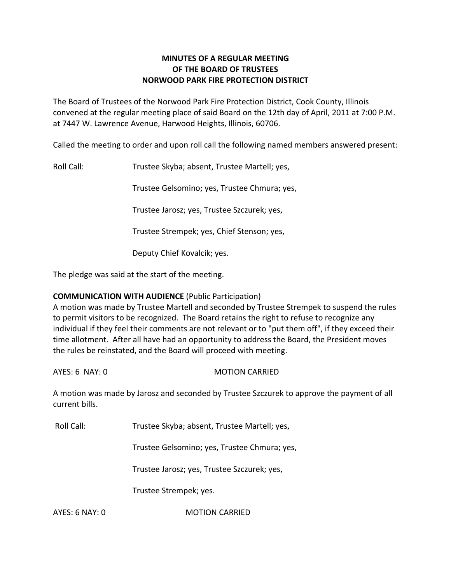# **MINUTES OF A REGULAR MEETING OF THE BOARD OF TRUSTEES NORWOOD PARK FIRE PROTECTION DISTRICT**

The Board of Trustees of the Norwood Park Fire Protection District, Cook County, Illinois convened at the regular meeting place of said Board on the 12th day of April, 2011 at 7:00 P.M. at 7447 W. Lawrence Avenue, Harwood Heights, Illinois, 60706.

Called the meeting to order and upon roll call the following named members answered present:

Roll Call: Trustee Skyba; absent, Trustee Martell; yes,

Trustee Gelsomino; yes, Trustee Chmura; yes,

Trustee Jarosz; yes, Trustee Szczurek; yes,

Trustee Strempek; yes, Chief Stenson; yes,

Deputy Chief Kovalcik; yes.

The pledge was said at the start of the meeting.

## **COMMUNICATION WITH AUDIENCE** (Public Participation)

A motion was made by Trustee Martell and seconded by Trustee Strempek to suspend the rules to permit visitors to be recognized. The Board retains the right to refuse to recognize any individual if they feel their comments are not relevant or to "put them off", if they exceed their time allotment. After all have had an opportunity to address the Board, the President moves the rules be reinstated, and the Board will proceed with meeting.

AYES: 6 NAY: 0 MOTION CARRIED

A motion was made by Jarosz and seconded by Trustee Szczurek to approve the payment of all current bills.

Roll Call: Trustee Skyba; absent, Trustee Martell; yes,

Trustee Gelsomino; yes, Trustee Chmura; yes,

Trustee Jarosz; yes, Trustee Szczurek; yes,

Trustee Strempek; yes.

AYES: 6 NAY: 0 **MOTION CARRIED**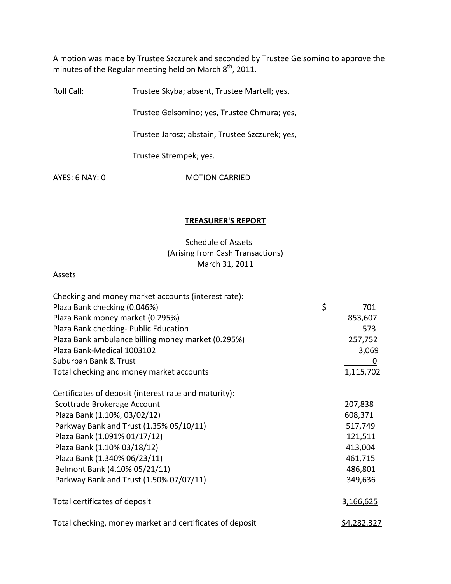A motion was made by Trustee Szczurek and seconded by Trustee Gelsomino to approve the minutes of the Regular meeting held on March  $8^{\text{th}}$ , 2011.

Roll Call: Trustee Skyba; absent, Trustee Martell; yes,

Trustee Gelsomino; yes, Trustee Chmura; yes,

Trustee Jarosz; abstain, Trustee Szczurek; yes,

Trustee Strempek; yes.

AYES: 6 NAY: 0 MOTION CARRIED

#### **TREASURER'S REPORT**

# Schedule of Assets (Arising from Cash Transactions) March 31, 2011

#### Assets

| Checking and money market accounts (interest rate):      |                    |
|----------------------------------------------------------|--------------------|
| Plaza Bank checking (0.046%)                             | \$<br>701          |
| Plaza Bank money market (0.295%)                         | 853,607            |
| Plaza Bank checking- Public Education                    | 573                |
| Plaza Bank ambulance billing money market (0.295%)       | 257,752            |
| Plaza Bank-Medical 1003102                               | 3,069              |
| Suburban Bank & Trust                                    | 0                  |
| Total checking and money market accounts                 | 1,115,702          |
| Certificates of deposit (interest rate and maturity):    |                    |
| Scottrade Brokerage Account                              | 207,838            |
| Plaza Bank (1.10%, 03/02/12)                             | 608,371            |
| Parkway Bank and Trust (1.35% 05/10/11)                  | 517,749            |
| Plaza Bank (1.091% 01/17/12)                             | 121,511            |
| Plaza Bank (1.10% 03/18/12)                              | 413,004            |
| Plaza Bank (1.340% 06/23/11)                             | 461,715            |
| Belmont Bank (4.10% 05/21/11)                            | 486,801            |
| Parkway Bank and Trust (1.50% 07/07/11)                  | 349,636            |
| Total certificates of deposit                            | 3,166,625          |
| Total checking, money market and certificates of deposit | <u>\$4,282,327</u> |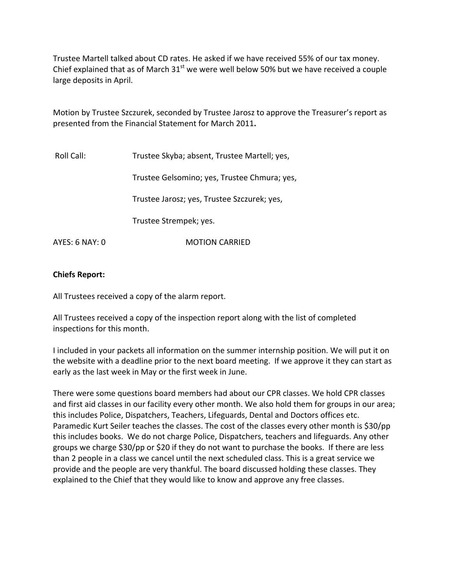Trustee Martell talked about CD rates. He asked if we have received 55% of our tax money. Chief explained that as of March  $31<sup>st</sup>$  we were well below 50% but we have received a couple large deposits in April.

Motion by Trustee Szczurek, seconded by Trustee Jarosz to approve the Treasurer's report as presented from the Financial Statement for March 2011**.**

| Roll Call:     | Trustee Skyba; absent, Trustee Martell; yes, |  |
|----------------|----------------------------------------------|--|
|                | Trustee Gelsomino; yes, Trustee Chmura; yes, |  |
|                | Trustee Jarosz; yes, Trustee Szczurek; yes,  |  |
|                | Trustee Strempek; yes.                       |  |
| AYES: 6 NAY: 0 | <b>MOTION CARRIED</b>                        |  |

## **Chiefs Report:**

All Trustees received a copy of the alarm report.

All Trustees received a copy of the inspection report along with the list of completed inspections for this month.

I included in your packets all information on the summer internship position. We will put it on the website with a deadline prior to the next board meeting. If we approve it they can start as early as the last week in May or the first week in June.

There were some questions board members had about our CPR classes. We hold CPR classes and first aid classes in our facility every other month. We also hold them for groups in our area; this includes Police, Dispatchers, Teachers, Lifeguards, Dental and Doctors offices etc. Paramedic Kurt Seiler teaches the classes. The cost of the classes every other month is \$30/pp this includes books. We do not charge Police, Dispatchers, teachers and lifeguards. Any other groups we charge \$30/pp or \$20 if they do not want to purchase the books. If there are less than 2 people in a class we cancel until the next scheduled class. This is a great service we provide and the people are very thankful. The board discussed holding these classes. They explained to the Chief that they would like to know and approve any free classes.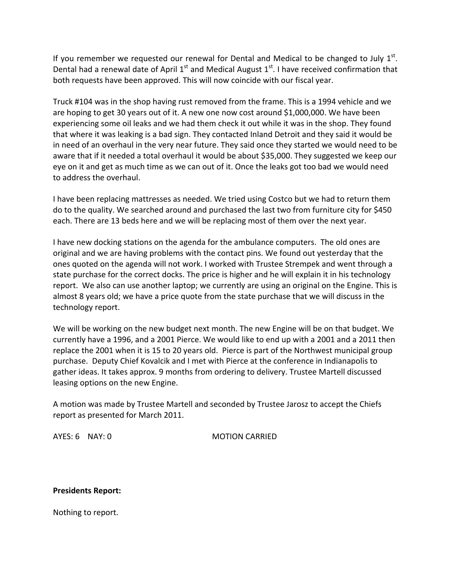If you remember we requested our renewal for Dental and Medical to be changed to July  $1^{st}$ . Dental had a renewal date of April 1<sup>st</sup> and Medical August 1<sup>st</sup>. I have received confirmation that both requests have been approved. This will now coincide with our fiscal year.

Truck #104 was in the shop having rust removed from the frame. This is a 1994 vehicle and we are hoping to get 30 years out of it. A new one now cost around \$1,000,000. We have been experiencing some oil leaks and we had them check it out while it was in the shop. They found that where it was leaking is a bad sign. They contacted Inland Detroit and they said it would be in need of an overhaul in the very near future. They said once they started we would need to be aware that if it needed a total overhaul it would be about \$35,000. They suggested we keep our eye on it and get as much time as we can out of it. Once the leaks got too bad we would need to address the overhaul.

I have been replacing mattresses as needed. We tried using Costco but we had to return them do to the quality. We searched around and purchased the last two from furniture city for \$450 each. There are 13 beds here and we will be replacing most of them over the next year.

I have new docking stations on the agenda for the ambulance computers. The old ones are original and we are having problems with the contact pins. We found out yesterday that the ones quoted on the agenda will not work. I worked with Trustee Strempek and went through a state purchase for the correct docks. The price is higher and he will explain it in his technology report. We also can use another laptop; we currently are using an original on the Engine. This is almost 8 years old; we have a price quote from the state purchase that we will discuss in the technology report.

We will be working on the new budget next month. The new Engine will be on that budget. We currently have a 1996, and a 2001 Pierce. We would like to end up with a 2001 and a 2011 then replace the 2001 when it is 15 to 20 years old. Pierce is part of the Northwest municipal group purchase. Deputy Chief Kovalcik and I met with Pierce at the conference in Indianapolis to gather ideas. It takes approx. 9 months from ordering to delivery. Trustee Martell discussed leasing options on the new Engine.

A motion was made by Trustee Martell and seconded by Trustee Jarosz to accept the Chiefs report as presented for March 2011.

AYES: 6 NAY: 0 MOTION CARRIED

**Presidents Report:** 

Nothing to report.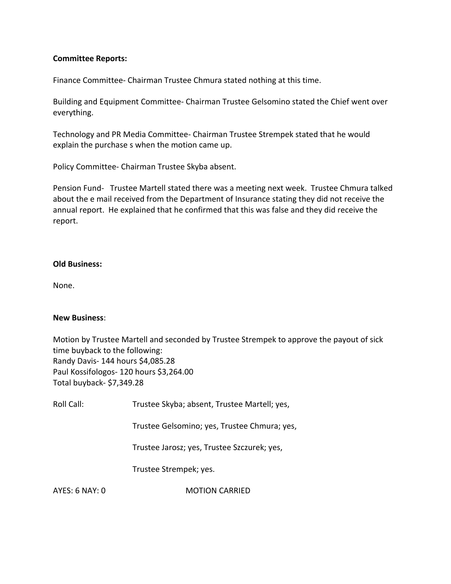## **Committee Reports:**

Finance Committee‐ Chairman Trustee Chmura stated nothing at this time.

Building and Equipment Committee‐ Chairman Trustee Gelsomino stated the Chief went over everything.

Technology and PR Media Committee‐ Chairman Trustee Strempek stated that he would explain the purchase s when the motion came up.

Policy Committee‐ Chairman Trustee Skyba absent.

Pension Fund- Trustee Martell stated there was a meeting next week. Trustee Chmura talked about the e mail received from the Department of Insurance stating they did not receive the annual report. He explained that he confirmed that this was false and they did receive the report.

### **Old Business:**

None.

#### **New Business**:

Motion by Trustee Martell and seconded by Trustee Strempek to approve the payout of sick time buyback to the following: Randy Davis‐ 144 hours \$4,085.28 Paul Kossifologos‐ 120 hours \$3,264.00 Total buyback‐ \$7,349.28

| Roll Call: | Trustee Skyba; absent, Trustee Martell; yes, |  |
|------------|----------------------------------------------|--|
|            |                                              |  |

Trustee Gelsomino; yes, Trustee Chmura; yes,

Trustee Jarosz; yes, Trustee Szczurek; yes,

Trustee Strempek; yes.

AYES: 6 NAY: 0 MOTION CARRIED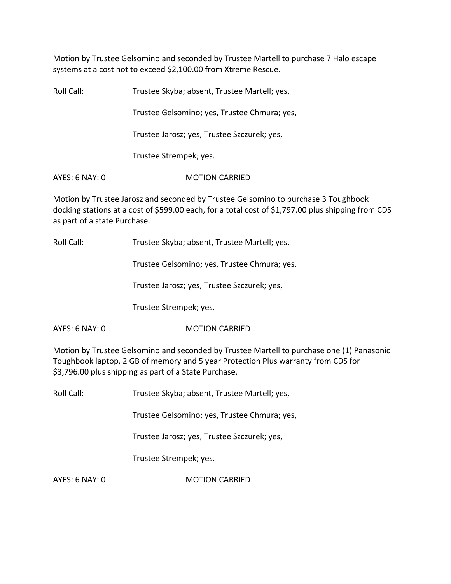Motion by Trustee Gelsomino and seconded by Trustee Martell to purchase 7 Halo escape systems at a cost not to exceed \$2,100.00 from Xtreme Rescue.

Roll Call: Trustee Skyba; absent, Trustee Martell; yes, Trustee Gelsomino; yes, Trustee Chmura; yes, Trustee Jarosz; yes, Trustee Szczurek; yes, Trustee Strempek; yes. AYES: 6 NAY: 0 **MOTION CARRIED** 

Motion by Trustee Jarosz and seconded by Trustee Gelsomino to purchase 3 Toughbook docking stations at a cost of \$599.00 each, for a total cost of \$1,797.00 plus shipping from CDS as part of a state Purchase.

Roll Call: Trustee Skyba; absent, Trustee Martell; yes,

Trustee Gelsomino; yes, Trustee Chmura; yes,

Trustee Jarosz; yes, Trustee Szczurek; yes,

Trustee Strempek; yes.

AYES: 6 NAY: 0 MOTION CARRIED

Motion by Trustee Gelsomino and seconded by Trustee Martell to purchase one (1) Panasonic Toughbook laptop, 2 GB of memory and 5 year Protection Plus warranty from CDS for \$3,796.00 plus shipping as part of a State Purchase.

Roll Call: Trustee Skyba; absent, Trustee Martell; yes,

Trustee Gelsomino; yes, Trustee Chmura; yes,

Trustee Jarosz; yes, Trustee Szczurek; yes,

Trustee Strempek; yes.

AYES: 6 NAY: 0 MOTION CARRIED